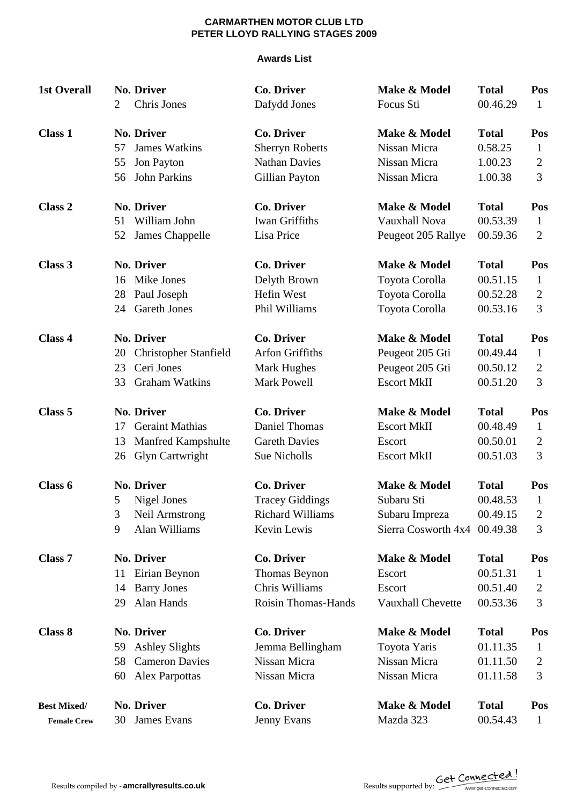### **Awards List**

| <b>1st Overall</b> |    | <b>No. Driver</b>            | <b>Co. Driver</b>          | Make & Model             | <b>Total</b> | Pos            |
|--------------------|----|------------------------------|----------------------------|--------------------------|--------------|----------------|
|                    | 2  | Chris Jones                  | Dafydd Jones               | Focus Sti                | 00.46.29     | $\mathbf{1}$   |
| <b>Class 1</b>     |    | No. Driver                   | <b>Co. Driver</b>          | Make & Model             | <b>Total</b> | Pos            |
|                    | 57 | <b>James Watkins</b>         | <b>Sherryn Roberts</b>     | Nissan Micra             | 0.58.25      | $\mathbf{1}$   |
|                    | 55 | Jon Payton                   | <b>Nathan Davies</b>       | Nissan Micra             | 1.00.23      | $\overline{2}$ |
|                    | 56 | <b>John Parkins</b>          | Gillian Payton             | Nissan Micra             | 1.00.38      | 3              |
| <b>Class 2</b>     |    | <b>No. Driver</b>            | <b>Co. Driver</b>          | Make & Model             | <b>Total</b> | Pos            |
|                    | 51 | William John                 | <b>Iwan Griffiths</b>      | Vauxhall Nova            | 00.53.39     | $\mathbf{1}$   |
|                    | 52 | James Chappelle              | Lisa Price                 | Peugeot 205 Rallye       | 00.59.36     | $\overline{2}$ |
| Class 3            |    | No. Driver                   | <b>Co. Driver</b>          | Make & Model             | <b>Total</b> | Pos            |
|                    | 16 | Mike Jones                   | Delyth Brown               | Toyota Corolla           | 00.51.15     | $\mathbf{1}$   |
|                    | 28 | Paul Joseph                  | Hefin West                 | Toyota Corolla           | 00.52.28     | $\overline{2}$ |
|                    | 24 | <b>Gareth Jones</b>          | Phil Williams              | Toyota Corolla           | 00.53.16     | 3              |
| <b>Class 4</b>     |    | <b>No. Driver</b>            | <b>Co. Driver</b>          | Make & Model             | <b>Total</b> | Pos            |
|                    | 20 | <b>Christopher Stanfield</b> | <b>Arfon Griffiths</b>     | Peugeot 205 Gti          | 00.49.44     | $\mathbf{1}$   |
|                    | 23 | Ceri Jones                   | <b>Mark Hughes</b>         | Peugeot 205 Gti          | 00.50.12     | $\overline{2}$ |
|                    | 33 | <b>Graham Watkins</b>        | <b>Mark Powell</b>         | <b>Escort MkII</b>       | 00.51.20     | 3              |
| Class 5            |    | <b>No. Driver</b>            | <b>Co. Driver</b>          | Make & Model             | <b>Total</b> | Pos            |
|                    | 17 | <b>Geraint Mathias</b>       | Daniel Thomas              | <b>Escort MkII</b>       | 00.48.49     | $\mathbf{1}$   |
|                    | 13 | Manfred Kampshulte           | <b>Gareth Davies</b>       | Escort                   | 00.50.01     | $\overline{2}$ |
|                    | 26 | Glyn Cartwright              | Sue Nicholls               | <b>Escort MkII</b>       | 00.51.03     | 3              |
| Class 6            |    | <b>No. Driver</b>            | <b>Co. Driver</b>          | Make & Model             | <b>Total</b> | Pos            |
|                    | 5  | <b>Nigel Jones</b>           | <b>Tracey Giddings</b>     | Subaru Sti               | 00.48.53     | $\mathbf{1}$   |
|                    | 3  | Neil Armstrong               | <b>Richard Williams</b>    | Subaru Impreza           | 00.49.15     | $\overline{2}$ |
|                    | 9  | Alan Williams                | Kevin Lewis                | Sierra Cosworth 4x4      | 00.49.38     | 3              |
| Class <sub>7</sub> |    | <b>No. Driver</b>            | <b>Co. Driver</b>          | Make & Model             | <b>Total</b> | Pos            |
|                    | 11 | Eirian Beynon                | Thomas Beynon              | Escort                   | 00.51.31     | $\mathbf{1}$   |
|                    | 14 | <b>Barry Jones</b>           | Chris Williams             | Escort                   | 00.51.40     | 2              |
|                    | 29 | Alan Hands                   | <b>Roisin Thomas-Hands</b> | <b>Vauxhall Chevette</b> | 00.53.36     | 3              |
| <b>Class 8</b>     |    | <b>No. Driver</b>            | <b>Co. Driver</b>          | Make & Model             | <b>Total</b> | Pos            |
|                    | 59 | <b>Ashley Slights</b>        | Jemma Bellingham           | Toyota Yaris             | 01.11.35     | $\mathbf{1}$   |
|                    | 58 | <b>Cameron Davies</b>        | Nissan Micra               | Nissan Micra             | 01.11.50     | 2              |
|                    | 60 | <b>Alex Parpottas</b>        | Nissan Micra               | Nissan Micra             | 01.11.58     | 3              |
| <b>Best Mixed/</b> |    | <b>No. Driver</b>            | <b>Co. Driver</b>          | Make & Model             | <b>Total</b> | Pos            |
| <b>Female Crew</b> | 30 | James Evans                  | Jenny Evans                | Mazda 323                | 00.54.43     | $\mathbf{1}$   |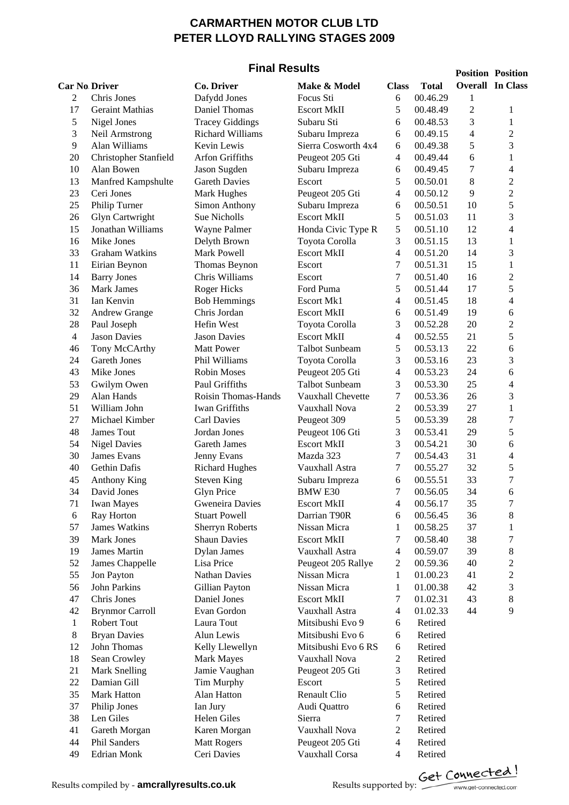### **Final Results**

|                |                        | בווומו ולכאוונ          |                       |                          |              |            | <b>Position Position</b> |
|----------------|------------------------|-------------------------|-----------------------|--------------------------|--------------|------------|--------------------------|
|                | <b>Car No Driver</b>   | Co. Driver              | Make & Model          | <b>Class</b>             | <b>Total</b> |            | <b>Overall In Class</b>  |
| 2              | Chris Jones            | Dafydd Jones            | Focus Sti             | 6                        | 00.46.29     | 1          |                          |
| 17             | <b>Geraint Mathias</b> | Daniel Thomas           | <b>Escort MkII</b>    | 5                        | 00.48.49     | $\sqrt{2}$ | 1                        |
| 5              | Nigel Jones            | <b>Tracey Giddings</b>  | Subaru Sti            | 6                        | 00.48.53     | 3          | $\mathbf{1}$             |
| 3              | Neil Armstrong         | <b>Richard Williams</b> | Subaru Impreza        | 6                        | 00.49.15     | 4          | $\overline{2}$           |
| 9              | Alan Williams          | Kevin Lewis             | Sierra Cosworth 4x4   | 6                        | 00.49.38     | 5          | 3                        |
| 20             | Christopher Stanfield  | Arfon Griffiths         | Peugeot 205 Gti       | 4                        | 00.49.44     | 6          | $\mathbf{1}$             |
| 10             | Alan Bowen             | Jason Sugden            | Subaru Impreza        | 6                        | 00.49.45     | 7          | $\overline{\mathcal{L}}$ |
| 13             | Manfred Kampshulte     | <b>Gareth Davies</b>    | Escort                | 5                        | 00.50.01     | 8          | $\overline{2}$           |
| 23             | Ceri Jones             | Mark Hughes             | Peugeot 205 Gti       | 4                        | 00.50.12     | 9          | $\overline{c}$           |
| 25             | Philip Turner          | <b>Simon Anthony</b>    | Subaru Impreza        | 6                        | 00.50.51     | 10         | 5                        |
| 26             | <b>Glyn Cartwright</b> | Sue Nicholls            | <b>Escort MkII</b>    | 5                        | 00.51.03     | 11         | 3                        |
| 15             | Jonathan Williams      | Wayne Palmer            | Honda Civic Type R    | 5                        | 00.51.10     | 12         | $\overline{\mathcal{L}}$ |
| 16             | Mike Jones             | Delyth Brown            | Toyota Corolla        | 3                        | 00.51.15     | 13         | $\mathbf{1}$             |
| 33             | <b>Graham Watkins</b>  | Mark Powell             | <b>Escort MkII</b>    | $\overline{\mathcal{L}}$ | 00.51.20     | 14         | 3                        |
| 11             | Eirian Beynon          | Thomas Beynon           | Escort                | 7                        | 00.51.31     | 15         | $\,1$                    |
| 14             | <b>Barry Jones</b>     | Chris Williams          | Escort                | 7                        | 00.51.40     | 16         | $\overline{c}$           |
| 36             | Mark James             | <b>Roger Hicks</b>      | Ford Puma             | 5                        | 00.51.44     | 17         | 5                        |
| 31             | Ian Kenvin             | <b>Bob Hemmings</b>     | <b>Escort Mk1</b>     |                          | 00.51.45     | 18         | $\overline{\mathcal{L}}$ |
|                |                        |                         |                       | 4                        |              |            |                          |
| 32             | Andrew Grange          | Chris Jordan            | <b>Escort MkII</b>    | 6                        | 00.51.49     | 19         | 6                        |
| 28             | Paul Joseph            | Hefin West              | Toyota Corolla        | 3                        | 00.52.28     | 20         | $\overline{c}$           |
| $\overline{4}$ | <b>Jason Davies</b>    | <b>Jason Davies</b>     | <b>Escort MkII</b>    | $\overline{\mathcal{L}}$ | 00.52.55     | 21         | 5                        |
| 46             | Tony McCArthy          | <b>Matt Power</b>       | <b>Talbot Sunbeam</b> | 5                        | 00.53.13     | 22         | 6                        |
| 24             | Gareth Jones           | Phil Williams           | Toyota Corolla        | 3                        | 00.53.16     | 23         | 3                        |
| 43             | Mike Jones             | <b>Robin Moses</b>      | Peugeot 205 Gti       | 4                        | 00.53.23     | 24         | 6                        |
| 53             | Gwilym Owen            | Paul Griffiths          | <b>Talbot Sunbeam</b> | 3                        | 00.53.30     | 25         | 4                        |
| 29             | Alan Hands             | Roisin Thomas-Hands     | Vauxhall Chevette     | 7                        | 00.53.36     | 26         | 3                        |
| 51             | William John           | <b>Iwan Griffiths</b>   | Vauxhall Nova         | $\overline{c}$           | 00.53.39     | $27\,$     | $\mathbf{1}$             |
| 27             | Michael Kimber         | <b>Carl Davies</b>      | Peugeot 309           | 5                        | 00.53.39     | 28         | $\overline{7}$           |
| 48             | James Tout             | Jordan Jones            | Peugeot 106 Gti       | 3                        | 00.53.41     | 29         | 5                        |
| 54             | <b>Nigel Davies</b>    | <b>Gareth James</b>     | <b>Escort MkII</b>    | 3                        | 00.54.21     | 30         | 6                        |
| 30             | James Evans            | Jenny Evans             | Mazda 323             | 7                        | 00.54.43     | 31         | 4                        |
| 40             | <b>Gethin Dafis</b>    | <b>Richard Hughes</b>   | Vauxhall Astra        | 7                        | 00.55.27     | 32         | 5                        |
| 45             | Anthony King           | <b>Steven King</b>      | Subaru Impreza        | 6                        | 00.55.51     | 33         | $\overline{7}$           |
| 34             | David Jones            | <b>Glyn Price</b>       | <b>BMW E30</b>        | 7                        | 00.56.05     | 34         | 6                        |
| 71             | <b>Iwan Mayes</b>      | Gweneira Davies         | <b>Escort MkII</b>    | 4                        | 00.56.17     | 35         | 7                        |
| 6              | Ray Horton             | <b>Stuart Powell</b>    | Darrian T90R          | 6                        | 00.56.45     | 36         | 8                        |
| 57             | <b>James Watkins</b>   | <b>Sherryn Roberts</b>  | Nissan Micra          | $\mathbf{1}$             | 00.58.25     | 37         | 1                        |
| 39             | <b>Mark Jones</b>      | <b>Shaun Davies</b>     | <b>Escort MkII</b>    | 7                        | 00.58.40     | 38         | 7                        |
| 19             | <b>James Martin</b>    | <b>Dylan James</b>      | Vauxhall Astra        | 4                        | 00.59.07     | 39         | 8                        |
| 52             | James Chappelle        | Lisa Price              | Peugeot 205 Rallye    | 2                        | 00.59.36     | 40         | $\overline{c}$           |
| 55             | Jon Payton             | <b>Nathan Davies</b>    | Nissan Micra          | 1                        | 01.00.23     | 41         | $\overline{c}$           |
| 56             | <b>John Parkins</b>    | Gillian Payton          | Nissan Micra          | $\mathbf{1}$             | 01.00.38     | 42         | 3                        |
| 47             | Chris Jones            | Daniel Jones            | <b>Escort MkII</b>    | 7                        | 01.02.31     | 43         | 8                        |
| 42             | <b>Brynmor Carroll</b> | Evan Gordon             | Vauxhall Astra        | 4                        | 01.02.33     | 44         | 9                        |
| $\mathbf{1}$   | Robert Tout            | Laura Tout              | Mitsibushi Evo 9      | 6                        | Retired      |            |                          |
| 8              | <b>Bryan Davies</b>    | Alun Lewis              | Mitsibushi Evo 6      | 6                        | Retired      |            |                          |
| 12             | John Thomas            | Kelly Llewellyn         | Mitsibushi Evo 6 RS   | 6                        | Retired      |            |                          |
| 18             | Sean Crowley           | <b>Mark Mayes</b>       | Vauxhall Nova         | $\mathbf{2}$             | Retired      |            |                          |
| 21             | <b>Mark Snelling</b>   | Jamie Vaughan           | Peugeot 205 Gti       | 3                        | Retired      |            |                          |
| 22             | Damian Gill            | Tim Murphy              | Escort                | 5                        | Retired      |            |                          |
| 35             | Mark Hatton            | Alan Hatton             | Renault Clio          | 5                        | Retired      |            |                          |
| 37             | Philip Jones           | Ian Jury                | Audi Quattro          | 6                        | Retired      |            |                          |
| 38             | Len Giles              | Helen Giles             | Sierra                | 7                        | Retired      |            |                          |
| 41             | Gareth Morgan          | Karen Morgan            | Vauxhall Nova         | $\boldsymbol{2}$         | Retired      |            |                          |
| 44             | Phil Sanders           |                         |                       | 4                        | Retired      |            |                          |
|                |                        | <b>Matt Rogers</b>      | Peugeot 205 Gti       |                          |              |            |                          |
| 49             | <b>Edrian Monk</b>     | Ceri Davies             | Vauxhall Corsa        | $\overline{\mathcal{A}}$ | Retired      |            |                          |

Results compiled by **- amcrallyresults.co.uk** Results supported by: <u>Cet Connected.com</u>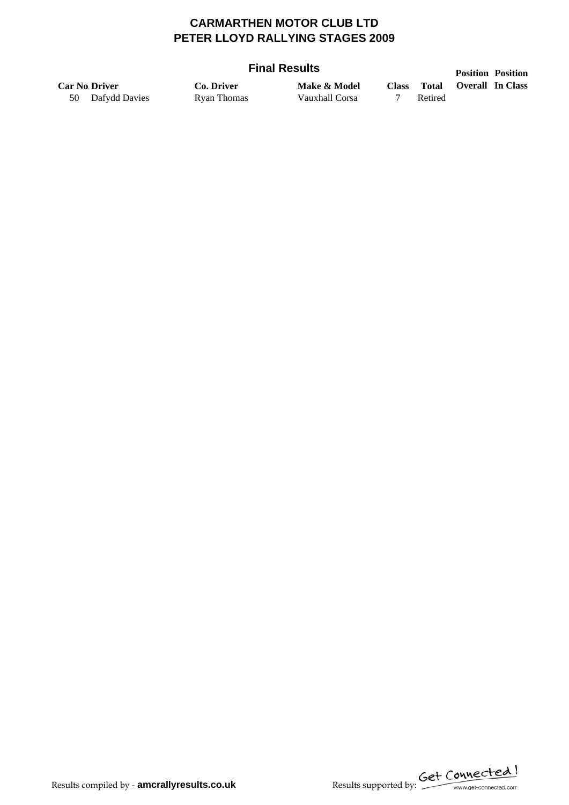### **Final Results**

|    | ι ιιαι ινσουιιο      |             |                |              |         |  | <b>Position Position</b> |  |
|----|----------------------|-------------|----------------|--------------|---------|--|--------------------------|--|
|    | <b>Car No Driver</b> | Co. Driver  | Make & Model   | <b>Class</b> | Total   |  | <b>Overall In Class</b>  |  |
| 50 | Dafydd Davies        | Ryan Thomas | Vauxhall Corsa |              | Retired |  |                          |  |

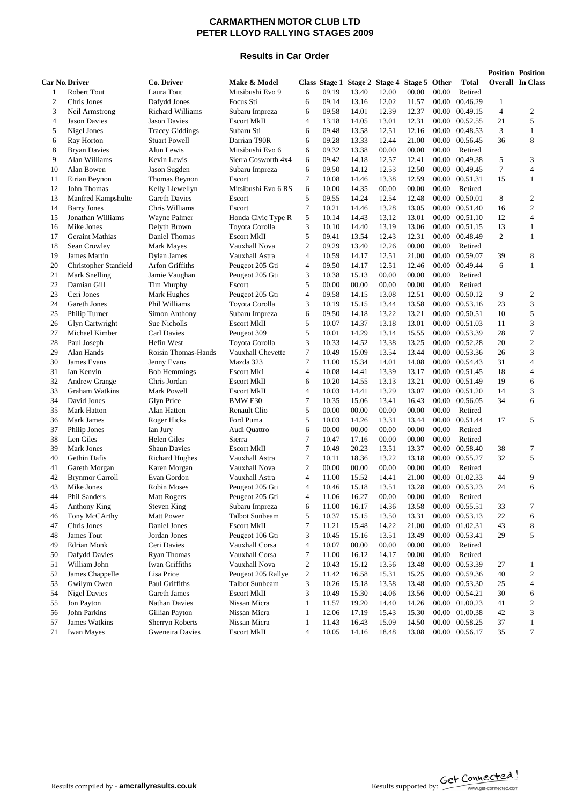#### **Results in Car Order**

|                      |                        |                        |                       |                          |       |       |                                             |       |       |                |                | <b>Position Position</b> |
|----------------------|------------------------|------------------------|-----------------------|--------------------------|-------|-------|---------------------------------------------|-------|-------|----------------|----------------|--------------------------|
| <b>Car No Driver</b> |                        | Co. Driver             | Make & Model          |                          |       |       | Class Stage 1 Stage 2 Stage 4 Stage 5 Other |       |       | <b>Total</b>   |                | <b>Overall</b> In Class  |
| $\mathbf{1}$         | <b>Robert Tout</b>     | Laura Tout             | Mitsibushi Evo 9      | 6                        | 09.19 | 13.40 | 12.00                                       | 00.00 | 00.00 | Retired        |                |                          |
| $\mathfrak{2}$       | Chris Jones            | Dafydd Jones           | Focus Sti             | 6                        | 09.14 | 13.16 | 12.02                                       | 11.57 | 00.00 | 00.46.29       | 1              |                          |
| 3                    | Neil Armstrong         | Richard Williams       | Subaru Impreza        | 6                        | 09.58 | 14.01 | 12.39                                       | 12.37 | 00.00 | 00.49.15       | $\overline{4}$ | $\overline{2}$           |
| 4                    | <b>Jason Davies</b>    | <b>Jason Davies</b>    | <b>Escort MkII</b>    | 4                        | 13.18 | 14.05 | 13.01                                       | 12.31 | 00.00 | 00.52.55       | 21             | 5                        |
| 5                    | Nigel Jones            | <b>Tracey Giddings</b> | Subaru Sti            | 6                        | 09.48 | 13.58 | 12.51                                       | 12.16 | 00.00 | 00.48.53       | 3              | $\mathbf{1}$             |
| 6                    | Ray Horton             | <b>Stuart Powell</b>   | Darrian T90R          | 6                        | 09.28 | 13.33 | 12.44                                       | 21.00 | 00.00 | 00.56.45       | 36             | 8                        |
| 8                    | <b>Bryan Davies</b>    | Alun Lewis             | Mitsibushi Evo 6      | 6                        | 09.32 | 13.38 | 00.00                                       | 00.00 | 00.00 | Retired        |                |                          |
| 9                    | Alan Williams          | Kevin Lewis            | Sierra Cosworth 4x4   | 6                        | 09.42 | 14.18 | 12.57                                       | 12.41 | 00.00 | 00.49.38       | 5              | 3                        |
| 10                   | Alan Bowen             | Jason Sugden           | Subaru Impreza        | 6                        | 09.50 | 14.12 | 12.53                                       | 12.50 | 00.00 | 00.49.45       | $\overline{7}$ | $\overline{4}$           |
| 11                   | Eirian Beynon          | Thomas Beynon          | Escort                | 7                        | 10.08 | 14.46 | 13.38                                       | 12.59 | 00.00 | 00.51.31       | 15             | $\mathbf{1}$             |
| 12                   | John Thomas            | Kelly Llewellyn        | Mitsibushi Evo 6 RS   | 6                        | 10.00 | 14.35 | 00.00                                       | 00.00 | 00.00 | Retired        |                |                          |
| 13                   | Manfred Kampshulte     | <b>Gareth Davies</b>   | Escort                | 5                        | 09.55 | 14.24 | 12.54                                       | 12.48 | 00.00 | 00.50.01       | 8              | $\overline{c}$           |
| 14                   | <b>Barry Jones</b>     | Chris Williams         | Escort                | $\overline{7}$           | 10.21 | 14.46 | 13.28                                       | 13.05 | 00.00 | 00.51.40       | 16             | $\overline{c}$           |
| 15                   | Jonathan Williams      | Wayne Palmer           | Honda Civic Type R    | 5                        | 10.14 | 14.43 | 13.12                                       | 13.01 | 00.00 | 00.51.10       | 12             | $\overline{4}$           |
| 16                   | Mike Jones             | Delyth Brown           | Toyota Corolla        | 3                        | 10.10 | 14.40 | 13.19                                       | 13.06 | 00.00 | 00.51.15       | 13             | $\mathbf{1}$             |
| 17                   | <b>Geraint Mathias</b> | Daniel Thomas          | <b>Escort MkII</b>    | 5                        | 09.41 | 13.54 | 12.43                                       | 12.31 | 00.00 | 00.48.49       | 2              | 1                        |
| 18                   | Sean Crowley           | Mark Mayes             | Vauxhall Nova         | $\overline{c}$           | 09.29 | 13.40 | 12.26                                       | 00.00 | 00.00 | Retired        |                |                          |
| 19                   | James Martin           | Dylan James            | Vauxhall Astra        | $\overline{4}$           | 10.59 | 14.17 | 12.51                                       | 21.00 | 00.00 | 00.59.07       | 39             | 8                        |
| 20                   | Christopher Stanfield  | Arfon Griffiths        | Peugeot 205 Gti       | 4                        | 09.50 | 14.17 | 12.51                                       | 12.46 | 00.00 | 00.49.44       | 6              | $\mathbf{1}$             |
| 21                   | Mark Snelling          | Jamie Vaughan          | Peugeot 205 Gti       | 3                        | 10.38 | 15.13 | 00.00                                       | 00.00 | 00.00 | Retired        |                |                          |
| 22                   | Damian Gill            | Tim Murphy             | Escort                | 5                        | 00.00 | 00.00 | 00.00                                       | 00.00 | 00.00 | Retired        |                |                          |
| 23                   | Ceri Jones             | Mark Hughes            | Peugeot 205 Gti       | $\overline{4}$           | 09.58 | 14.15 | 13.08                                       | 12.51 | 00.00 | 00.50.12       | 9              | $\overline{2}$           |
| 24                   | Gareth Jones           | Phil Williams          | Toyota Corolla        | 3                        | 10.19 | 15.15 | 13.44                                       | 13.58 | 00.00 | 00.53.16       | 23             | 3                        |
| 25                   | Philip Turner          | Simon Anthony          | Subaru Impreza        | 6                        | 09.50 | 14.18 | 13.22                                       | 13.21 | 00.00 | 00.50.51       | 10             | 5                        |
| 26                   | Glyn Cartwright        | Sue Nicholls           | <b>Escort MkII</b>    | 5                        | 10.07 | 14.37 | 13.18                                       | 13.01 | 00.00 | 00.51.03       | 11             | 3                        |
| 27                   | Michael Kimber         | Carl Davies            | Peugeot 309           | 5                        | 10.01 | 14.29 | 13.14                                       | 15.55 | 00.00 | 00.53.39       | 28             | $\overline{7}$           |
| 28                   | Paul Joseph            | Hefin West             | Toyota Corolla        | 3                        | 10.33 | 14.52 | 13.38                                       | 13.25 | 00.00 | 00.52.28       | 20             | $\overline{2}$           |
| 29                   | Alan Hands             | Roisin Thomas-Hands    | Vauxhall Chevette     | 7                        | 10.49 | 15.09 | 13.54                                       | 13.44 | 00.00 | 00.53.36       | 26             | 3                        |
| 30                   | James Evans            | Jenny Evans            | Mazda 323             | 7                        | 11.00 | 15.34 | 14.01                                       | 14.08 | 00.00 | 00.54.43       | 31             | $\overline{4}$           |
| 31                   | Ian Kenvin             | <b>Bob Hemmings</b>    | <b>Escort Mk1</b>     | $\overline{4}$           | 10.08 | 14.41 | 13.39                                       | 13.17 | 00.00 | 00.51.45       | 18             | $\overline{4}$           |
| 32                   | <b>Andrew Grange</b>   | Chris Jordan           | <b>Escort MkII</b>    | 6                        | 10.20 | 14.55 | 13.13                                       | 13.21 | 00.00 | 00.51.49       | 19             | 6                        |
| 33                   | Graham Watkins         | Mark Powell            | <b>Escort MkII</b>    | $\overline{4}$           | 10.03 | 14.41 | 13.29                                       | 13.07 | 00.00 | 00.51.20       | 14             | 3                        |
| 34                   | David Jones            | Glyn Price             | <b>BMW E30</b>        | $\overline{7}$           | 10.35 | 15.06 | 13.41                                       | 16.43 | 00.00 | 00.56.05       | 34             | 6                        |
| 35                   | Mark Hatton            | Alan Hatton            | Renault Clio          | 5                        | 00.00 | 00.00 | 00.00                                       | 00.00 | 00.00 | Retired        |                |                          |
| 36                   | Mark James             | Roger Hicks            | Ford Puma             | 5                        | 10.03 | 14.26 | 13.31                                       | 13.44 | 00.00 | 00.51.44       | 17             | 5                        |
| 37                   | Philip Jones           | Ian Jury               | Audi Quattro          | 6                        | 00.00 | 00.00 | 00.00                                       | 00.00 | 00.00 | Retired        |                |                          |
| 38                   | Len Giles              | Helen Giles            | Sierra                | 7                        | 10.47 | 17.16 | 00.00                                       | 00.00 | 00.00 | Retired        |                |                          |
| 39                   | Mark Jones             | <b>Shaun Davies</b>    | <b>Escort MkII</b>    | $\overline{7}$           | 10.49 | 20.23 | 13.51                                       | 13.37 | 00.00 | 00.58.40       | 38             | 7                        |
| 40                   | Gethin Dafis           | <b>Richard Hughes</b>  | Vauxhall Astra        | $\overline{7}$           | 10.11 | 18.36 | 13.22                                       | 13.18 | 00.00 | 00.55.27       | 32             | 5                        |
| 41                   | Gareth Morgan          | Karen Morgan           | Vauxhall Nova         | $\mathfrak{2}$           | 00.00 | 00.00 | 00.00                                       | 00.00 | 00.00 | Retired        |                |                          |
| 42                   | <b>Brynmor Carroll</b> | Evan Gordon            | Vauxhall Astra        | 4                        | 11.00 | 15.52 | 14.41                                       | 21.00 | 00.00 | 01.02.33       | 44             | 9                        |
| 43                   | Mike Jones             | <b>Robin Moses</b>     | Peugeot 205 Gti       | $\overline{4}$           | 10.46 | 15.18 | 13.51                                       | 13.28 |       | 00.00 00.53.23 | 24             | 6                        |
| 44                   | Phil Sanders           | Matt Rogers            | Peugeot 205 Gti       | 4                        | 11.06 | 16.27 | 00.00                                       | 00.00 | 00.00 | Retired        |                |                          |
| 45                   | Anthony King           | <b>Steven King</b>     | Subaru Impreza        | 6                        | 11.00 | 16.17 | 14.36                                       | 13.58 |       | 00.00 00.55.51 | 33             | 7                        |
| 46                   | Tony McCArthy          | Matt Power             | Talbot Sunbeam        | 5                        | 10.37 | 15.15 | 13.50                                       | 13.31 | 00.00 | 00.53.13       | 22             | 6                        |
| 47                   | Chris Jones            | Daniel Jones           | <b>Escort MkII</b>    | 7                        | 11.21 | 15.48 | 14.22                                       | 21.00 |       | 00.00 01.02.31 | 43             | 8                        |
| 48                   | James Tout             | Jordan Jones           | Peugeot 106 Gti       | 3                        | 10.45 | 15.16 | 13.51                                       | 13.49 | 00.00 | 00.53.41       | 29             | 5                        |
| 49                   | Edrian Monk            | Ceri Davies            | Vauxhall Corsa        | $\overline{\mathcal{L}}$ | 10.07 | 00.00 | 00.00                                       | 00.00 | 00.00 | Retired        |                |                          |
| 50                   | Dafydd Davies          | Ryan Thomas            | Vauxhall Corsa        | $\overline{7}$           | 11.00 | 16.12 | 14.17                                       | 00.00 | 00.00 | Retired        |                |                          |
| 51                   | William John           | Iwan Griffiths         | Vauxhall Nova         | 2                        | 10.43 | 15.12 | 13.56                                       | 13.48 | 00.00 | 00.53.39       | 27             | 1                        |
| 52                   | James Chappelle        | Lisa Price             | Peugeot 205 Rallye    | $\overline{c}$           | 11.42 | 16.58 | 15.31                                       | 15.25 |       | 00.00 00.59.36 | 40             | $\overline{2}$           |
| 53                   | Gwilym Owen            | Paul Griffiths         | <b>Talbot Sunbeam</b> | 3                        | 10.26 | 15.18 | 13.58                                       | 13.48 |       | 00.00 00.53.30 | 25             | 4                        |
| 54                   | <b>Nigel Davies</b>    | Gareth James           | <b>Escort MkII</b>    | 3                        | 10.49 | 15.30 | 14.06                                       | 13.56 |       | 00.00 00.54.21 | 30             | 6                        |
| 55                   | Jon Payton             | <b>Nathan Davies</b>   | Nissan Micra          | $\mathbf{1}$             | 11.57 | 19.20 | 14.40                                       | 14.26 |       | 00.00 01.00.23 | 41             | $\overline{c}$           |
| 56                   | John Parkins           | Gillian Payton         | Nissan Micra          | $\mathbf{1}$             | 12.06 | 17.19 | 15.43                                       | 15.30 |       | 00.00 01.00.38 | 42             | 3                        |
| 57                   | James Watkins          | Sherryn Roberts        | Nissan Micra          | 1                        | 11.43 | 16.43 | 15.09                                       | 14.50 |       | 00.00 00.58.25 | 37             | $\mathbf{1}$             |
| 71                   | <b>Iwan Mayes</b>      | Gweneira Davies        | <b>Escort MkII</b>    | 4                        | 10.05 | 14.16 | 18.48                                       | 13.08 |       | 00.00 00.56.17 | 35             | 7                        |
|                      |                        |                        |                       |                          |       |       |                                             |       |       |                |                |                          |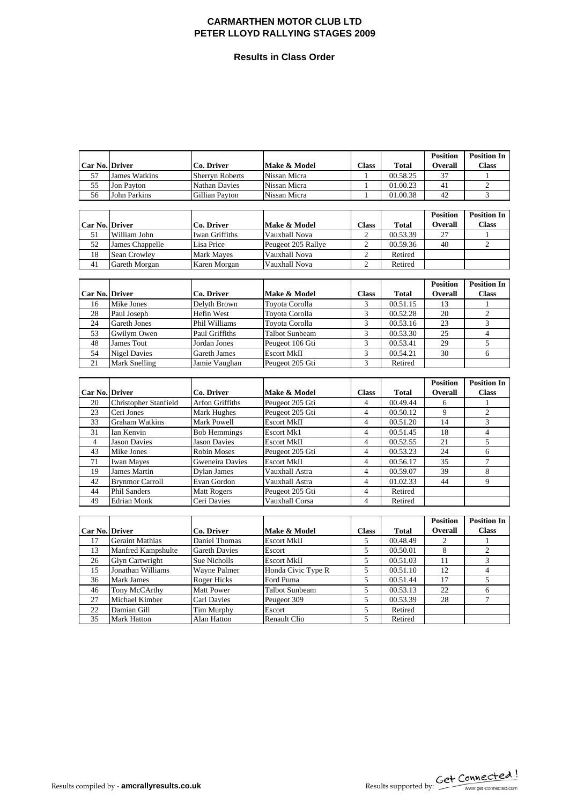#### **Results in Class Order**

| Car No. Driver  |                        | Co. Driver             | Make & Model        | <b>Class</b>             | <b>Total</b> | <b>Position</b><br>Overall | <b>Position In</b><br><b>Class</b> |
|-----------------|------------------------|------------------------|---------------------|--------------------------|--------------|----------------------------|------------------------------------|
| 57              | <b>James Watkins</b>   | <b>Sherryn Roberts</b> | Nissan Micra        | 1                        | 00.58.25     | 37                         | $\mathbf{1}$                       |
| 55              | Jon Payton             | Nathan Davies          | Nissan Micra        | $\mathbf{1}$             | 01.00.23     | 41                         | $\overline{c}$                     |
| 56              | John Parkins           | Gillian Payton         | Nissan Micra        | $\mathbf{1}$             | 01.00.38     | 42                         | 3                                  |
|                 |                        |                        |                     |                          |              |                            |                                    |
| Car No. Driver  |                        | Co. Driver             | Make & Model        | <b>Class</b>             | <b>Total</b> | <b>Position</b><br>Overall | <b>Position In</b><br><b>Class</b> |
| 51              | William John           | Iwan Griffiths         | Vauxhall Nova       | 2                        | 00.53.39     | 27                         | 1                                  |
| 52              | James Chappelle        | Lisa Price             | Peugeot 205 Rallye  | $\overline{c}$           | 00.59.36     | 40                         | $\mathfrak{2}$                     |
| 18              | Sean Crowley           | Mark Mayes             | Vauxhall Nova       | $\overline{c}$           | Retired      |                            |                                    |
| 41              | Gareth Morgan          | Karen Morgan           | Vauxhall Nova       | $\overline{c}$           | Retired      |                            |                                    |
|                 |                        |                        |                     |                          |              |                            |                                    |
| Car No. Driver  |                        | Co. Driver             | Make & Model        | <b>Class</b>             | <b>Total</b> | <b>Position</b><br>Overall | <b>Position In</b><br><b>Class</b> |
| 16              | Mike Jones             | Delyth Brown           | Toyota Corolla      | 3                        | 00.51.15     | 13                         | 1                                  |
| 28              | Paul Joseph            | Hefin West             | Toyota Corolla      | 3                        | 00.52.28     | 20                         | $\mathfrak{2}$                     |
| 24              | <b>Gareth Jones</b>    | Phil Williams          | Toyota Corolla      | 3                        | 00.53.16     | 23                         | 3                                  |
| 53              | Gwilym Owen            | Paul Griffiths         | Talbot Sunbeam      | 3                        | 00.53.30     | 25                         | $\overline{4}$                     |
| 48              | <b>James Tout</b>      | Jordan Jones           | Peugeot 106 Gti     | 3                        | 00.53.41     | 29                         | 5                                  |
| 54              | <b>Nigel Davies</b>    | <b>Gareth James</b>    | <b>Escort MkII</b>  | 3                        | 00.54.21     | 30                         | 6                                  |
| 21              | Mark Snelling          | Jamie Vaughan          | Peugeot 205 Gti     | 3                        | Retired      |                            |                                    |
|                 |                        |                        |                     |                          |              |                            |                                    |
|                 |                        |                        |                     |                          |              | <b>Position</b>            | <b>Position In</b>                 |
| Car No. Driver  |                        | Co. Driver             | Make & Model        | <b>Class</b>             | <b>Total</b> | Overall                    | <b>Class</b>                       |
| 20              | Christopher Stanfield  | Arfon Griffiths        | Peugeot 205 Gti     | 4                        | 00.49.44     | 6                          | 1                                  |
| 23              | Ceri Jones             | Mark Hughes            | Peugeot 205 Gti     | $\overline{\mathbf{4}}$  | 00.50.12     | 9                          | $\overline{2}$                     |
| 33              | <b>Graham Watkins</b>  | Mark Powell            | <b>Escort MkII</b>  | 4                        | 00.51.20     | 14                         | 3                                  |
| 31              | Ian Kenvin             | <b>Bob Hemmings</b>    | Escort Mk1          | $\overline{\mathcal{L}}$ | 00.51.45     | 18                         | $\overline{4}$                     |
| $\overline{4}$  | <b>Jason Davies</b>    | <b>Jason Davies</b>    | <b>Escort MkII</b>  | $\overline{\mathcal{L}}$ | 00.52.55     | 21                         | 5                                  |
| 43              | Mike Jones             | Robin Moses            | Peugeot 205 Gti     | $\overline{\mathbf{4}}$  | 00.53.23     | 24                         | 6                                  |
| 71              | <b>Iwan Mayes</b>      | Gweneira Davies        | <b>Escort MkII</b>  | 4                        | 00.56.17     | 35                         | $\overline{7}$                     |
| 19              | James Martin           | Dylan James            | Vauxhall Astra      | $\overline{\mathbf{4}}$  | 00.59.07     | 39                         | 8                                  |
| 42              | <b>Brynmor Carroll</b> | Evan Gordon            | Vauxhall Astra      | $\overline{\mathbf{4}}$  | 01.02.33     | 44                         | 9                                  |
| 44              | Phil Sanders           | <b>Matt Rogers</b>     | Peugeot 205 Gti     | $\overline{\mathcal{L}}$ | Retired      |                            |                                    |
| 49              | <b>Edrian Monk</b>     | Ceri Davies            | Vauxhall Corsa      | $\overline{\mathbf{4}}$  | Retired      |                            |                                    |
|                 |                        |                        |                     |                          |              |                            |                                    |
|                 |                        |                        |                     |                          |              | <b>Position</b>            | <b>Position In</b>                 |
| Car No. Driver  |                        | Co. Driver             | Make & Model        | <b>Class</b>             | <b>Total</b> | <b>Overall</b>             | <b>Class</b>                       |
| 17              | <b>Geraint Mathias</b> | Daniel Thomas          | <b>Escort MkII</b>  | 5                        | 00.48.49     | $\mathfrak{2}$             | 1                                  |
| 13              | Manfred Kampshulte     | <b>Gareth Davies</b>   | Escort              | 5                        | 00.50.01     | 8                          | $\overline{c}$                     |
| 26              | <b>Glyn Cartwright</b> | Sue Nicholls           | <b>Escort MkII</b>  | 5                        | 00.51.03     | 11                         | 3                                  |
| 15              | Jonathan Williams      | Wayne Palmer           | Honda Civic Type R  | 5                        | 00.51.10     | 12                         | $\overline{4}$                     |
| 36              | Mark James             | Roger Hicks            | Ford Puma           | 5                        | 00.51.44     | 17                         | 5                                  |
| 46              | Tony McCArthy          | <b>Matt Power</b>      | Talbot Sunbeam      | 5                        | 00.53.13     | 22                         | 6                                  |
| 27              | Michael Kimber         | Carl Davies            | Peugeot 309         | 5                        | 00.53.39     | 28                         | 7                                  |
| 22              | Damian Gill            | Tim Murphy             | Escort              | 5                        | Retired      |                            |                                    |
| $\overline{35}$ | Mark Hatton            | Alan Hatton            | <b>Renault Clio</b> | 5                        | Retired      |                            |                                    |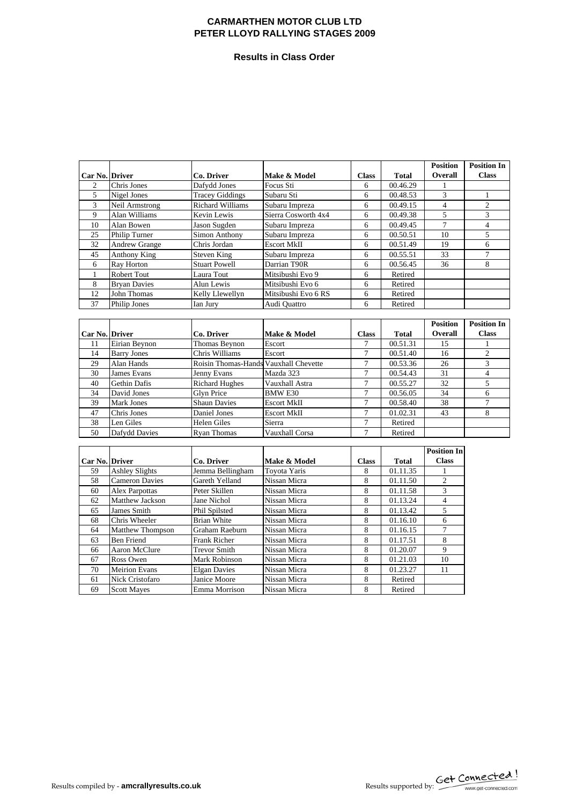#### **Results in Class Order**

|                |                       |                                       |                     |                |              | <b>Position</b>    | <b>Position In</b> |
|----------------|-----------------------|---------------------------------------|---------------------|----------------|--------------|--------------------|--------------------|
| Car No. Driver |                       | Co. Driver                            | Make & Model        | <b>Class</b>   | <b>Total</b> | Overall            | <b>Class</b>       |
| $\overline{2}$ | Chris Jones           | Dafydd Jones                          | Focus Sti           | 6              | 00.46.29     | 1                  |                    |
| 5              | Nigel Jones           | <b>Tracey Giddings</b>                | Subaru Sti          | 6              | 00.48.53     | 3                  | 1                  |
| 3              | Neil Armstrong        | <b>Richard Williams</b>               | Subaru Impreza      | 6              | 00.49.15     | $\overline{4}$     | $\mathfrak{2}$     |
| 9              | Alan Williams         | Kevin Lewis                           | Sierra Cosworth 4x4 | 6              | 00.49.38     | 5                  | 3                  |
| 10             | Alan Bowen            | Jason Sugden                          | Subaru Impreza      | 6              | 00.49.45     | $\overline{7}$     | $\overline{4}$     |
| 25             | Philip Turner         | <b>Simon Anthony</b>                  | Subaru Impreza      | 6              | 00.50.51     | 10                 | 5                  |
| 32             | Andrew Grange         | Chris Jordan                          | <b>Escort MkII</b>  | 6              | 00.51.49     | 19                 | 6                  |
| 45             | <b>Anthony King</b>   | <b>Steven King</b>                    | Subaru Impreza      | 6              | 00.55.51     | 33                 | 7                  |
| 6              | Ray Horton            | <b>Stuart Powell</b>                  | Darrian T90R        | 6              | 00.56.45     | 36                 | 8                  |
| 1              | <b>Robert Tout</b>    | Laura Tout                            | Mitsibushi Evo 9    | 6              | Retired      |                    |                    |
| 8              | <b>Brvan Davies</b>   | Alun Lewis                            | Mitsibushi Evo 6    | 6              | Retired      |                    |                    |
| 12             | <b>John Thomas</b>    | Kelly Llewellyn                       | Mitsibushi Evo 6 RS | 6              | Retired      |                    |                    |
| 37             | Philip Jones          | Ian Jury                              | Audi Ouattro        | 6              | Retired      |                    |                    |
|                |                       |                                       |                     |                |              |                    |                    |
|                |                       |                                       |                     |                |              | <b>Position</b>    | <b>Position In</b> |
| Car No. Driver |                       | Co. Driver                            | Make & Model        | <b>Class</b>   | Total        | Overall            | <b>Class</b>       |
| 11             | Eirian Beynon         | Thomas Beynon                         | Escort              | 7              | 00.51.31     | 15                 | 1                  |
| 14             | <b>Barry Jones</b>    | Chris Williams                        | Escort              | $\tau$         | 00.51.40     | 16                 | $\overline{c}$     |
| 29             | Alan Hands            | Roisin Thomas-Hands Vauxhall Chevette |                     | $\tau$         | 00.53.36     | 26                 | 3                  |
| 30             | James Evans           | Jenny Evans                           | Mazda 323           | $\tau$         | 00.54.43     | 31                 | $\overline{4}$     |
| 40             | Gethin Dafis          | <b>Richard Hughes</b>                 | Vauxhall Astra      | $\overline{7}$ | 00.55.27     | 32                 | 5                  |
| 34             | David Jones           | <b>Glvn Price</b>                     | <b>BMW E30</b>      | $\overline{7}$ | 00.56.05     | 34                 | 6                  |
| 39             | Mark Jones            | <b>Shaun Davies</b>                   | <b>Escort MkII</b>  | $\tau$         | 00.58.40     | 38                 | $\tau$             |
| 47             | Chris Jones           | Daniel Jones                          | <b>Escort MkII</b>  | 7              | 01.02.31     | 43                 | 8                  |
| 38             | Len Giles             | <b>Helen Giles</b>                    | Sierra              | $\tau$         | Retired      |                    |                    |
| 50             | Dafydd Davies         | Ryan Thomas                           | Vauxhall Corsa      | 7              | Retired      |                    |                    |
|                |                       |                                       |                     |                |              |                    |                    |
|                |                       |                                       |                     |                |              | <b>Position In</b> |                    |
| Car No. Driver |                       | Co. Driver                            | Make & Model        | <b>Class</b>   | <b>Total</b> | <b>Class</b>       |                    |
| 59             | <b>Ashley Slights</b> | Jemma Bellingham                      | <b>Toyota Yaris</b> | 8              | 01.11.35     |                    |                    |
| 58             | <b>Cameron Davies</b> | Gareth Yelland                        | Nissan Micra        | $\,$ 8 $\,$    | 01.11.50     | $\overline{2}$     |                    |
| 60             | Alex Parpottas        | Peter Skillen                         | Nissan Micra        | 8              | 01.11.58     | 3                  |                    |
| 62             | Matthew Jackson       | Jane Nichol                           | Nissan Micra        | 8              | 01.13.24     | $\overline{4}$     |                    |
| 65             | James Smith           | Phil Spilsted                         | Nissan Micra        | 8              | 01.13.42     | 5                  |                    |
| 68             | Chris Wheeler         | <b>Brian White</b>                    | Nissan Micra        | 8              | 01.16.10     | 6                  |                    |
| 64             | Matthew Thompson      | Graham Raeburn                        | Nissan Micra        | 8              | 01.16.15     | 7                  |                    |
| 63             | <b>Ben Friend</b>     | Frank Richer                          | Nissan Micra        | 8              | 01.17.51     | 8                  |                    |
| 66             | Aaron McClure         | <b>Trevor Smith</b>                   | Nissan Micra        | 8              | 01.20.07     | 9                  |                    |
| 67             | Ross Owen             | Mark Robinson                         | Nissan Micra        | 8              | 01.21.03     | 10                 |                    |
| 70             | <b>Meirion Evans</b>  | <b>Elgan Davies</b>                   | Nissan Micra        | 8              | 01.23.27     | 11                 |                    |
| 61             | Nick Cristofaro       | Janice Moore                          | Nissan Micra        | 8              | Retired      |                    |                    |
| 69             | <b>Scott Mayes</b>    | Emma Morrison                         | Nissan Micra        | 8              | Retired      |                    |                    |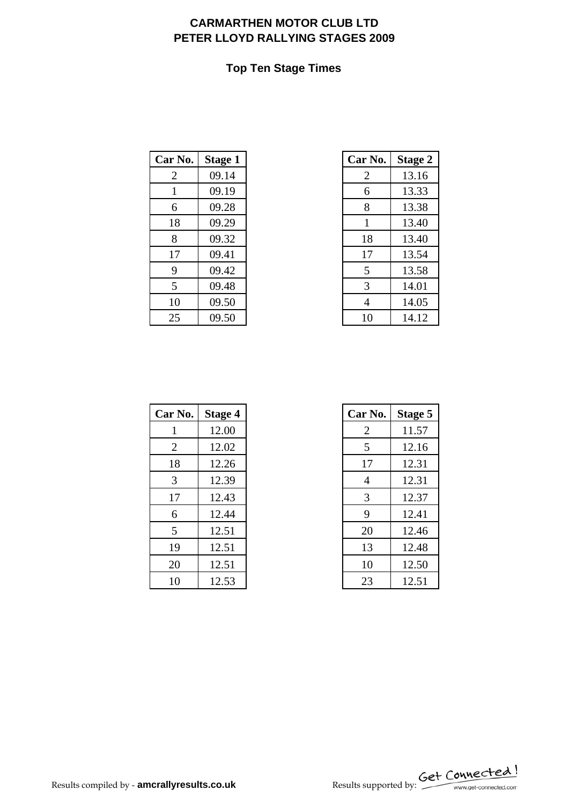## **Top Ten Stage Times**

| Car No. | <b>Stage 1</b> | Car No. | <b>Stage 2</b> |
|---------|----------------|---------|----------------|
| 2       | 09.14          | 2       | 13.16          |
| 1       | 09.19          | 6       | 13.33          |
| 6       | 09.28          | 8       | 13.38          |
| 18      | 09.29          | 1       | 13.40          |
| 8       | 09.32          | 18      | 13.40          |
| 17      | 09.41          | 17      | 13.54          |
| 9       | 09.42          | 5       | 13.58          |
| 5       | 09.48          | 3       | 14.01          |
| 10      | 09.50          | 4       | 14.05          |
| 25      | 09.50          | 10      | 14.12          |

| r No.        | <b>Stage 1</b> | Car No.        | <b>Stage 2</b> |
|--------------|----------------|----------------|----------------|
| 2            | 09.14          | $\overline{2}$ | 13.16          |
| $\mathbf{1}$ | 09.19          | 6              | 13.33          |
| 6            | 09.28          | 8              | 13.38          |
| 18           | 09.29          | 1              | 13.40          |
| 8            | 09.32          | 18             | 13.40          |
| 17           | 09.41          | 17             | 13.54          |
| 9            | 09.42          | 5              | 13.58          |
| 5            | 09.48          | 3              | 14.01          |
| 10           | 09.50          | 4              | 14.05          |
| 25           | 09.50          | 10             | 14.12          |

| Car No. | <b>Stage 4</b> | Car No.        | <b>Stage 5</b> |
|---------|----------------|----------------|----------------|
| 1       | 12.00          | 2              | 11.57          |
| 2       | 12.02          | 5              | 12.16          |
| 18      | 12.26          | 17             | 12.31          |
| 3       | 12.39          | $\overline{4}$ | 12.31          |
| 17      | 12.43          | 3              | 12.37          |
| 6       | 12.44          | 9              | 12.41          |
| 5       | 12.51          | 20             | 12.46          |
| 19      | 12.51          | 13             | 12.48          |
| 20      | 12.51          | 10             | 12.50          |
| 10      | 12.53          | 23             | 12.51          |

| r No. | <b>Stage 4</b> | Car No. | Stage 5 |
|-------|----------------|---------|---------|
| -1    | 12.00          | 2       | 11.57   |
| 2     | 12.02          | 5       | 12.16   |
| 18    | 12.26          | 17      | 12.31   |
| 3     | 12.39          | 4       | 12.31   |
| 17    | 12.43          | 3       | 12.37   |
| 6     | 12.44          | 9       | 12.41   |
| 5     | 12.51          | 20      | 12.46   |
| 19    | 12.51          | 13      | 12.48   |
| 20    | 12.51          | 10      | 12.50   |
| 10    | 12.53          | 23      | 12.51   |

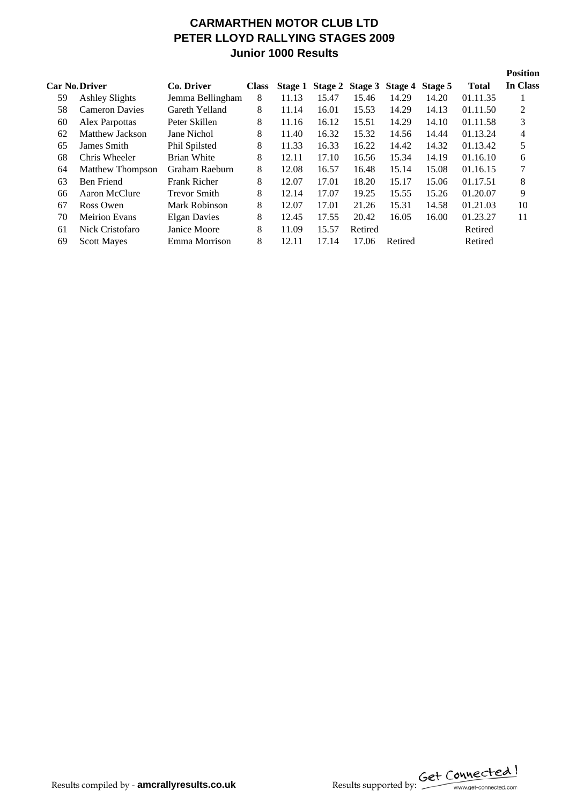# **CARMARTHEN MOTOR CLUB LTD PETER LLOYD RALLYING STAGES 2009 Junior 1000 Results**

|    | <b>Car No Driver</b>    | Co. Driver          | <b>Class</b> |       |       | Stage 1 Stage 2 Stage 3 Stage 4 Stage 5 |         |       | <b>Total</b> | <b>Position</b><br>In Class |
|----|-------------------------|---------------------|--------------|-------|-------|-----------------------------------------|---------|-------|--------------|-----------------------------|
| 59 | <b>Ashley Slights</b>   | Jemma Bellingham    | 8            | 11.13 | 15.47 | 15.46                                   | 14.29   | 14.20 | 01.11.35     |                             |
| 58 | <b>Cameron Davies</b>   | Gareth Yelland      | 8            | 11.14 | 16.01 | 15.53                                   | 14.29   | 14.13 | 01.11.50     | 2                           |
| 60 | Alex Parpottas          | Peter Skillen       | 8            | 11.16 | 16.12 | 15.51                                   | 14.29   | 14.10 | 01.11.58     | 3                           |
| 62 | Matthew Jackson         | Jane Nichol         | 8            | 11.40 | 16.32 | 15.32                                   | 14.56   | 14.44 | 01.13.24     | 4                           |
| 65 | James Smith             | Phil Spilsted       | 8            | 11.33 | 16.33 | 16.22                                   | 14.42   | 14.32 | 01.13.42     | 5                           |
| 68 | Chris Wheeler           | <b>Brian White</b>  | 8            | 12.11 | 17.10 | 16.56                                   | 15.34   | 14.19 | 01.16.10     | 6                           |
| 64 | <b>Matthew Thompson</b> | Graham Raeburn      | 8            | 12.08 | 16.57 | 16.48                                   | 15.14   | 15.08 | 01.16.15     | 7                           |
| 63 | <b>Ben Friend</b>       | <b>Frank Richer</b> | 8            | 12.07 | 17.01 | 18.20                                   | 15.17   | 15.06 | 01.17.51     | 8                           |
| 66 | Aaron McClure           | <b>Trevor Smith</b> | 8            | 12.14 | 17.07 | 19.25                                   | 15.55   | 15.26 | 01.20.07     | 9                           |
| 67 | Ross Owen               | Mark Robinson       | 8            | 12.07 | 17.01 | 21.26                                   | 15.31   | 14.58 | 01.21.03     | 10                          |
| 70 | <b>Meirion Evans</b>    | <b>Elgan Davies</b> | 8            | 12.45 | 17.55 | 20.42                                   | 16.05   | 16.00 | 01.23.27     | 11                          |
| 61 | Nick Cristofaro         | Janice Moore        | 8            | 11.09 | 15.57 | Retired                                 |         |       | Retired      |                             |
| 69 | <b>Scott Mayes</b>      | Emma Morrison       | 8            | 12.11 | 17.14 | 17.06                                   | Retired |       | Retired      |                             |
|    |                         |                     |              |       |       |                                         |         |       |              |                             |